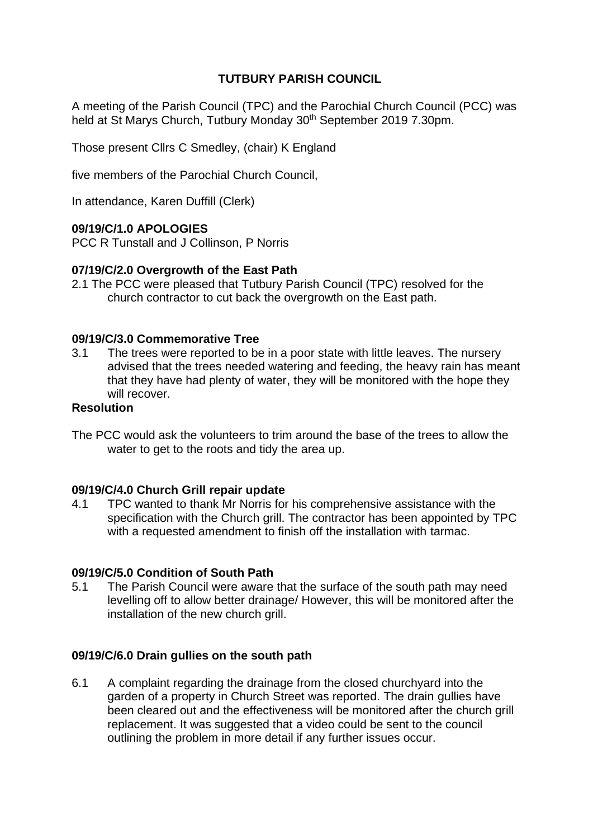# **TUTBURY PARISH COUNCIL**

A meeting of the Parish Council (TPC) and the Parochial Church Council (PCC) was held at St Marys Church, Tutbury Monday 30<sup>th</sup> September 2019 7.30pm.

Those present Cllrs C Smedley, (chair) K England

five members of the Parochial Church Council,

In attendance, Karen Duffill (Clerk)

### **09/19/C/1.0 APOLOGIES**

PCC R Tunstall and J Collinson, P Norris

### **07/19/C/2.0 Overgrowth of the East Path**

2.1 The PCC were pleased that Tutbury Parish Council (TPC) resolved for the church contractor to cut back the overgrowth on the East path.

### **09/19/C/3.0 Commemorative Tree**

3.1 The trees were reported to be in a poor state with little leaves. The nursery advised that the trees needed watering and feeding, the heavy rain has meant that they have had plenty of water, they will be monitored with the hope they will recover.

## **Resolution**

The PCC would ask the volunteers to trim around the base of the trees to allow the water to get to the roots and tidy the area up.

#### **09/19/C/4.0 Church Grill repair update**

4.1 TPC wanted to thank Mr Norris for his comprehensive assistance with the specification with the Church grill. The contractor has been appointed by TPC with a requested amendment to finish off the installation with tarmac.

## **09/19/C/5.0 Condition of South Path**

5.1 The Parish Council were aware that the surface of the south path may need levelling off to allow better drainage/ However, this will be monitored after the installation of the new church grill.

#### **09/19/C/6.0 Drain gullies on the south path**

6.1 A complaint regarding the drainage from the closed churchyard into the garden of a property in Church Street was reported. The drain gullies have been cleared out and the effectiveness will be monitored after the church grill replacement. It was suggested that a video could be sent to the council outlining the problem in more detail if any further issues occur.